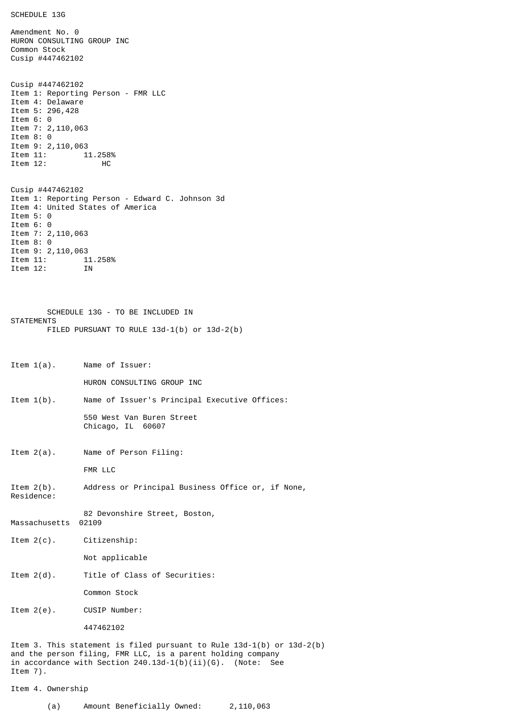SCHEDULE 13G

Amendment No. 0 HURON CONSULTING GROUP INC Common Stock Cusip #447462102 Cusip #447462102 Item 1: Reporting Person - FMR LLC Item 4: Delaware Item 5: 296,428 Item 6: 0 Item 7: 2,110,063 Item 8: 0 Item 9: 2,110,063<br>Item 11: 1: 11.258%<br>HC Item  $12$ : Cusip #447462102 Item 1: Reporting Person - Edward C. Johnson 3d Item 4: United States of America Item 5: 0 Item 6: 0 Item 7: 2,110,063 Item 8: 0 Item 9: 2,110,063<br>Item 11: 1: Item 11: 11.258% Item 12: IN SCHEDULE 13G - TO BE INCLUDED IN **STATEMENTS** FILED PURSUANT TO RULE 13d-1(b) or 13d-2(b) Item 1(a). Name of Issuer: HURON CONSULTING GROUP INC Item 1(b). Name of Issuer's Principal Executive Offices: 550 West Van Buren Street Chicago, IL 60607 Item 2(a). Name of Person Filing: FMR LLC Item 2(b). Address or Principal Business Office or, if None, Residence: 82 Devonshire Street, Boston, Massachusetts 02109 Item 2(c). Citizenship: Not applicable Item 2(d). Title of Class of Securities: Common Stock Item 2(e). CUSIP Number: 447462102 Item 3. This statement is filed pursuant to Rule 13d-1(b) or 13d-2(b) and the person filing, FMR LLC, is a parent holding company in accordance with Section 240.13d-1(b)(ii)(G). (Note: See Item 7).

Item 4. Ownership

(a) Amount Beneficially Owned: 2,110,063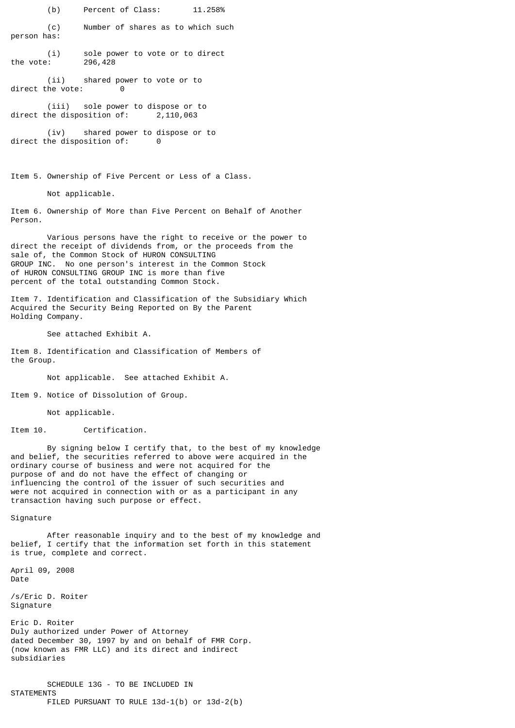(b) Percent of Class: 11.258%

(c) Number of shares as to which such person has:

(i) sole power to vote or to direct the vote: 296,428

(ii) shared power to vote or to direct the vote: 0

(iii) sole power to dispose or to direct the disposition of: 2,110,063

(iv) shared power to dispose or to direct the disposition of: 0

Item 5. Ownership of Five Percent or Less of a Class.

Not applicable.

Item 6. Ownership of More than Five Percent on Behalf of Another Person.

Various persons have the right to receive or the power to direct the receipt of dividends from, or the proceeds from the sale of, the Common Stock of HURON CONSULTING GROUP INC. No one person's interest in the Common Stock of HURON CONSULTING GROUP INC is more than five percent of the total outstanding Common Stock.

Item 7. Identification and Classification of the Subsidiary Which Acquired the Security Being Reported on By the Parent Holding Company.

See attached Exhibit A.

Item 8. Identification and Classification of Members of the Group.

Not applicable. See attached Exhibit A.

Item 9. Notice of Dissolution of Group.

Not applicable.

Item 10. Certification.

By signing below I certify that, to the best of my knowledge and belief, the securities referred to above were acquired in the ordinary course of business and were not acquired for the purpose of and do not have the effect of changing or influencing the control of the issuer of such securities and were not acquired in connection with or as a participant in any transaction having such purpose or effect.

Signature

After reasonable inquiry and to the best of my knowledge and belief, I certify that the information set forth in this statement is true, complete and correct.

April 09, 2008 Date

/s/Eric D. Roiter Signature

Eric D. Roiter Duly authorized under Power of Attorney dated December 30, 1997 by and on behalf of FMR Corp. (now known as FMR LLC) and its direct and indirect subsidiaries

SCHEDULE 13G - TO BE INCLUDED IN **STATEMENTS** FILED PURSUANT TO RULE 13d-1(b) or 13d-2(b)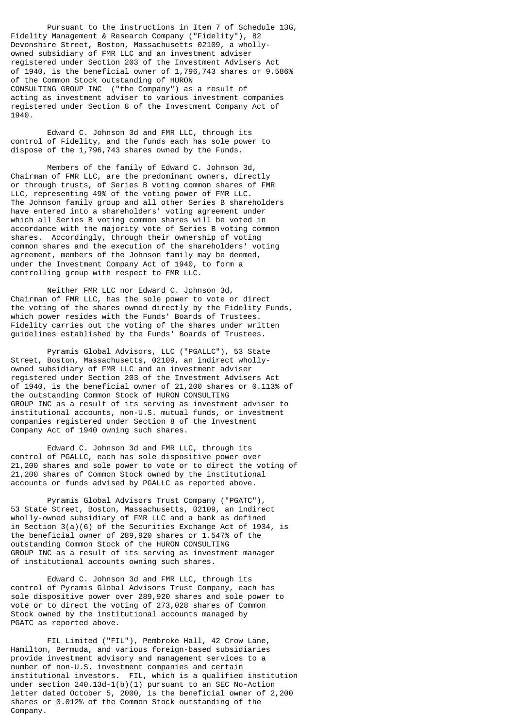Pursuant to the instructions in Item 7 of Schedule 13G, Fidelity Management & Research Company ("Fidelity"), 82 Devonshire Street, Boston, Massachusetts 02109, a whollyowned subsidiary of FMR LLC and an investment adviser registered under Section 203 of the Investment Advisers Act of 1940, is the beneficial owner of 1,796,743 shares or 9.586% of the Common Stock outstanding of HURON CONSULTING GROUP INC ("the Company") as a result of acting as investment adviser to various investment companies registered under Section 8 of the Investment Company Act of 1940.

Edward C. Johnson 3d and FMR LLC, through its control of Fidelity, and the funds each has sole power to dispose of the 1,796,743 shares owned by the Funds.

Members of the family of Edward C. Johnson 3d, Chairman of FMR LLC, are the predominant owners, directly or through trusts, of Series B voting common shares of FMR LLC, representing 49% of the voting power of FMR LLC. The Johnson family group and all other Series B shareholders have entered into a shareholders' voting agreement under which all Series B voting common shares will be voted in accordance with the majority vote of Series B voting common shares. Accordingly, through their ownership of voting common shares and the execution of the shareholders' voting agreement, members of the Johnson family may be deemed, under the Investment Company Act of 1940, to form a controlling group with respect to FMR LLC.

Neither FMR LLC nor Edward C. Johnson 3d, Chairman of FMR LLC, has the sole power to vote or direct the voting of the shares owned directly by the Fidelity Funds, which power resides with the Funds' Boards of Trustees. Fidelity carries out the voting of the shares under written guidelines established by the Funds' Boards of Trustees.

Pyramis Global Advisors, LLC ("PGALLC"), 53 State Street, Boston, Massachusetts, 02109, an indirect whollyowned subsidiary of FMR LLC and an investment adviser registered under Section 203 of the Investment Advisers Act of 1940, is the beneficial owner of 21,200 shares or 0.113% of the outstanding Common Stock of HURON CONSULTING GROUP INC as a result of its serving as investment adviser to institutional accounts, non-U.S. mutual funds, or investment companies registered under Section 8 of the Investment Company Act of 1940 owning such shares.

Edward C. Johnson 3d and FMR LLC, through its control of PGALLC, each has sole dispositive power over 21,200 shares and sole power to vote or to direct the voting of 21,200 shares of Common Stock owned by the institutional accounts or funds advised by PGALLC as reported above.

Pyramis Global Advisors Trust Company ("PGATC"), 53 State Street, Boston, Massachusetts, 02109, an indirect wholly-owned subsidiary of FMR LLC and a bank as defined in Section 3(a)(6) of the Securities Exchange Act of 1934, is the beneficial owner of 289,920 shares or 1.547% of the outstanding Common Stock of the HURON CONSULTING GROUP INC as a result of its serving as investment manager of institutional accounts owning such shares.

Edward C. Johnson 3d and FMR LLC, through its control of Pyramis Global Advisors Trust Company, each has sole dispositive power over 289,920 shares and sole power to vote or to direct the voting of 273,028 shares of Common Stock owned by the institutional accounts managed by PGATC as reported above.

FIL Limited ("FIL"), Pembroke Hall, 42 Crow Lane, Hamilton, Bermuda, and various foreign-based subsidiaries provide investment advisory and management services to a number of non-U.S. investment companies and certain institutional investors. FIL, which is a qualified institution under section 240.13d-1(b)(1) pursuant to an SEC No-Action letter dated October 5, 2000, is the beneficial owner of 2,200 shares or 0.012% of the Common Stock outstanding of the Company.